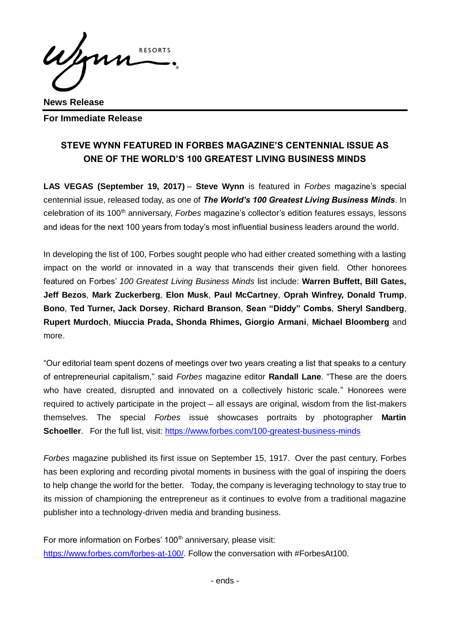ehora **RESORTS** 

**News Release**

**For Immediate Release** 

## **STEVE WYNN FEATURED IN FORBES MAGAZINE'S CENTENNIAL ISSUE AS ONE OF THE WORLD'S 100 GREATEST LIVING BUSINESS MINDS**

**LAS VEGAS (September 19, 2017)** – **Steve Wynn** is featured in *Forbes* magazine's special centennial issue, released today, as one of *The World's 100 Greatest Living Business Minds*. In celebration of its 100th anniversary, *Forbes* magazine's collector's edition features essays, lessons and ideas for the next 100 years from today's most influential business leaders around the world.

In developing the list of 100, Forbes sought people who had either created something with a lasting impact on the world or innovated in a way that transcends their given field. Other honorees featured on Forbes' *100 Greatest Living Business Minds* list include: **Warren Buffett, Bill Gates, Jeff Bezos**, **Mark Zuckerberg**, **Elon Musk**, **Paul McCartney**, **Oprah Winfrey, Donald Trump**, **Bono**, **Ted Turner, Jack Dorsey**, **Richard Branson**, **Sean "Diddy" Combs**, **Sheryl Sandberg**, **Rupert Murdoch**, **Miuccia Prada, Shonda Rhimes, Giorgio Armani**, **Michael Bloomberg** and more.

"Our editorial team spent dozens of meetings over two years creating a list that speaks to a century of entrepreneurial capitalism," said *Forbes* magazine editor **Randall Lane**. "These are the doers who have created, disrupted and innovated on a collectively historic scale." Honorees were required to actively participate in the project – all essays are original, wisdom from the list-makers themselves. The special *Forbes* issue showcases portraits by photographer **Martin Schoeller.** For the full list, visit:<https://www.forbes.com/100-greatest-business-minds>

*Forbes* magazine published its first issue on September 15, 1917. Over the past century, Forbes has been exploring and recording pivotal moments in business with the goal of inspiring the doers to help change the world for the better. Today, the company is leveraging technology to stay true to its mission of championing the entrepreneur as it continues to evolve from a traditional magazine publisher into a technology-driven media and branding business.

For more information on Forbes' 100<sup>th</sup> anniversary, please visit: [https://www.forbes.com/forbes-at-100/.](https://www.forbes.com/forbes-at-100/) Follow the conversation with #ForbesAt100.